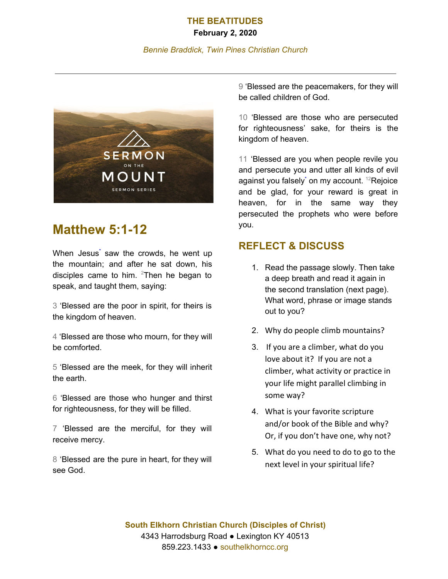## **THE BEATITUDES**

#### **February 2, 2020**

#### *Bennie Braddick, Twin Pines Christian Church*



# **Matthew 5:1-12**

When Jesus' saw the crowds, he went up the mountain; and after he sat down, his disciples came to him.  $2$ Then he began to speak, and taught them, saying:

3 'Blessed are the poor in spirit, for theirs is the kingdom of heaven.

4 'Blessed are those who mourn, for they will be comforted.

5 'Blessed are the meek, for they will inherit the earth.

6 'Blessed are those who hunger and thirst for righteousness, for they will be filled.

7 'Blessed are the merciful, for they will receive mercy.

8 'Blessed are the pure in heart, for they will see God.

9 'Blessed are the peacemakers, for they will be called children of God.

10 'Blessed are those who are persecuted for righteousness' sake, for theirs is the kingdom of heaven.

11 'Blessed are you when people revile you and persecute you and utter all kinds of evil against you falsely<sup>\*</sup> on my account. <sup>12</sup>Rejoice and be glad, for your reward is great in heaven, for in the same way they persecuted the prophets who were before you.

### **REFLECT & DISCUSS**

- 1. Read the passage slowly. Then take a deep breath and read it again in the second translation (next page). What word, phrase or image stands out to you?
- 2. Why do people climb mountains?
- 3. If you are a climber, what do you love about it? If you are not a climber, what activity or practice in your life might parallel climbing in some way?
- 4. What is your favorite scripture and/or book of the Bible and why? Or, if you don't have one, why not?
- 5. What do you need to do to go to the next level in your spiritual life?

**South Elkhorn Christian Church (Disciples of Christ)** 4343 Harrodsburg Road ● Lexington KY 40513 859.223.1433 ● southelkhorncc.org